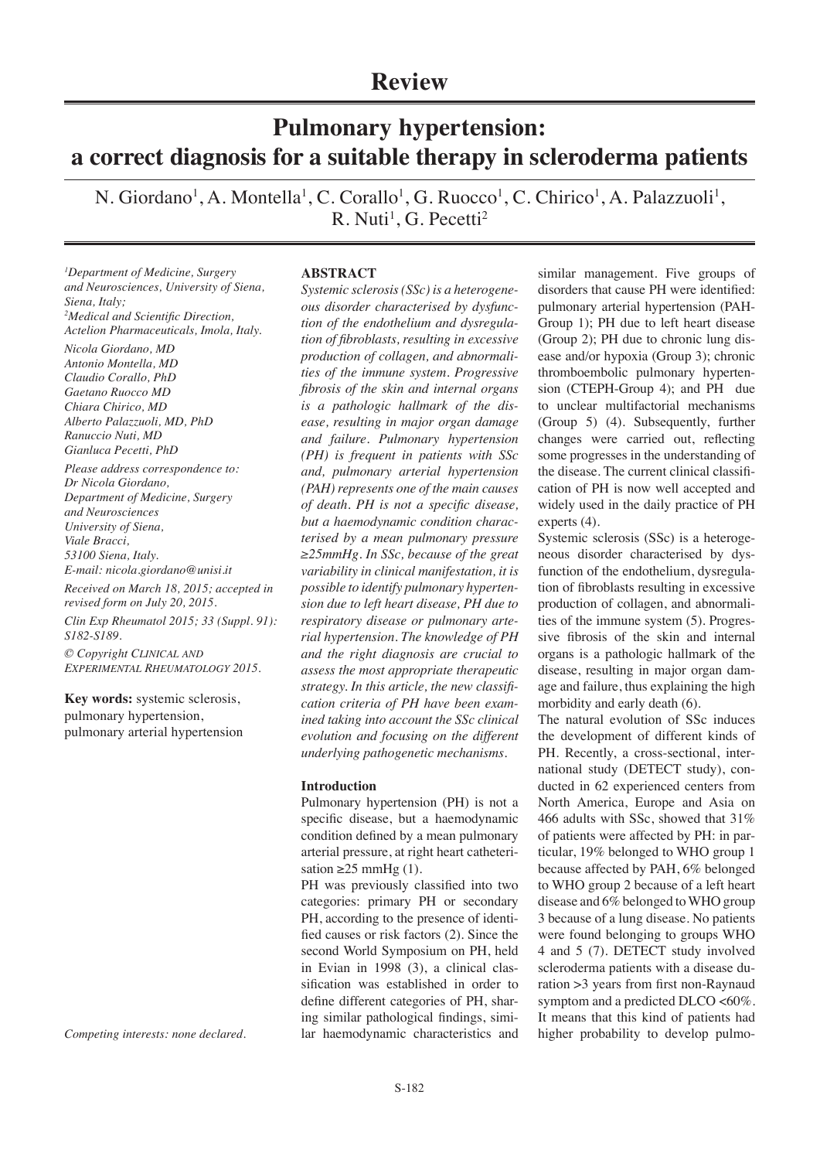## **Review**

# **Pulmonary hypertension: a correct diagnosis for a suitable therapy in scleroderma patients**

N. Giordano<sup>1</sup>, A. Montella<sup>1</sup>, C. Corallo<sup>1</sup>, G. Ruocco<sup>1</sup>, C. Chirico<sup>1</sup>, A. Palazzuoli<sup>1</sup>,  $R.$  Nuti<sup>1</sup>, G. Pecetti<sup>2</sup>

*1 Department of Medicine, Surgery and Neurosciences, University of Siena, Siena, Italy; 2 Medical and Scientific Direction, Actelion Pharmaceuticals, Imola, Italy. Nicola Giordano, MD Antonio Montella, MD Claudio Corallo, PhD Gaetano Ruocco MD Chiara Chirico, MD Alberto Palazzuoli, MD, PhD Ranuccio Nuti, MD Gianluca Pecetti, PhD Please address correspondence to: Dr Nicola Giordano, Department of Medicine, Surgery and Neurosciences University of Siena, Viale Bracci, 53100 Siena, Italy. E-mail: nicola.giordano@unisi.it Received on March 18, 2015; accepted in revised form on July 20, 2015. Clin Exp Rheumatol 2015; 33 (Suppl. 91):* 

*S182-S189. © Copyright Clinical and*

*Experimental Rheumatology 2015.*

**Key words:** systemic sclerosis, pulmonary hypertension, pulmonary arterial hypertension

*Competing interests: none declared.*

#### **ABSTRACT**

*Systemic sclerosis (SSc) is a heterogeneous disorder characterised by dysfunction of the endothelium and dysregulation of fibroblasts, resulting in excessive production of collagen, and abnormalities of the immune system. Progressive fibrosis of the skin and internal organs is a pathologic hallmark of the disease, resulting in major organ damage and failure. Pulmonary hypertension (PH) is frequent in patients with SSc and, pulmonary arterial hypertension (PAH) represents one of the main causes of death. PH is not a specific disease, but a haemodynamic condition characterised by a mean pulmonary pressure ≥25mmHg. In SSc, because of the great variability in clinical manifestation, it is possible to identify pulmonary hypertension due to left heart disease, PH due to respiratory disease or pulmonary arterial hypertension. The knowledge of PH and the right diagnosis are crucial to assess the most appropriate therapeutic strategy. In this article, the new classification criteria of PH have been examined taking into account the SSc clinical evolution and focusing on the different underlying pathogenetic mechanisms.* 

#### **Introduction**

Pulmonary hypertension (PH) is not a specific disease, but a haemodynamic condition defined by a mean pulmonary arterial pressure, at right heart catheterisation ≥25 mmHg  $(1)$ .

PH was previously classified into two categories: primary PH or secondary PH, according to the presence of identified causes or risk factors (2). Since the second World Symposium on PH, held in Evian in 1998 (3), a clinical classification was established in order to define different categories of PH, sharing similar pathological findings, similar haemodynamic characteristics and

similar management. Five groups of disorders that cause PH were identified: pulmonary arterial hypertension (PAH-Group 1); PH due to left heart disease (Group 2); PH due to chronic lung disease and/or hypoxia (Group 3); chronic thromboembolic pulmonary hypertension (CTEPH-Group 4); and PH due to unclear multifactorial mechanisms (Group 5) (4). Subsequently, further changes were carried out, reflecting some progresses in the understanding of the disease. The current clinical classification of PH is now well accepted and widely used in the daily practice of PH experts (4).

Systemic sclerosis (SSc) is a heterogeneous disorder characterised by dysfunction of the endothelium, dysregulation of fibroblasts resulting in excessive production of collagen, and abnormalities of the immune system (5). Progressive fibrosis of the skin and internal organs is a pathologic hallmark of the disease, resulting in major organ damage and failure, thus explaining the high morbidity and early death (6).

The natural evolution of SSc induces the development of different kinds of PH. Recently, a cross-sectional, international study (DETECT study), conducted in 62 experienced centers from North America, Europe and Asia on 466 adults with SSc, showed that 31% of patients were affected by PH: in particular, 19% belonged to WHO group 1 because affected by PAH, 6% belonged to WHO group 2 because of a left heart disease and 6% belonged to WHO group 3 because of a lung disease. No patients were found belonging to groups WHO 4 and 5 (7). DETECT study involved scleroderma patients with a disease duration >3 years from first non-Raynaud symptom and a predicted DLCO <60%. It means that this kind of patients had higher probability to develop pulmo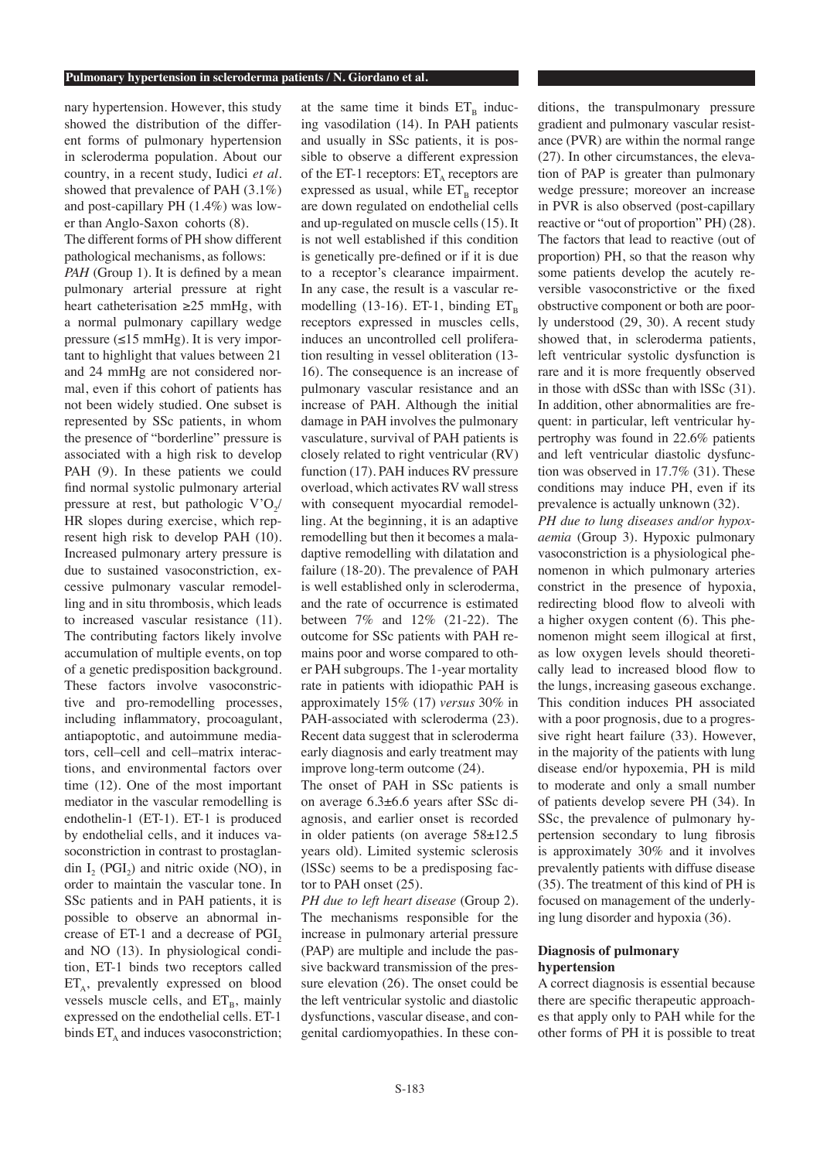nary hypertension. However, this study showed the distribution of the different forms of pulmonary hypertension in scleroderma population. About our country, in a recent study, Iudici *et al.* showed that prevalence of PAH (3.1%) and post-capillary PH (1.4%) was lower than Anglo-Saxon cohorts (8).

The different forms of PH show different pathological mechanisms, as follows: *PAH* (Group 1). It is defined by a mean pulmonary arterial pressure at right heart catheterisation  $\geq 25$  mmHg, with a normal pulmonary capillary wedge pressure  $(\leq 15 \text{ mmHg})$ . It is very important to highlight that values between 21 and 24 mmHg are not considered normal, even if this cohort of patients has not been widely studied. One subset is represented by SSc patients, in whom the presence of "borderline" pressure is associated with a high risk to develop PAH (9). In these patients we could find normal systolic pulmonary arterial pressure at rest, but pathologic  $V'O$ <sub>/</sub>/ HR slopes during exercise, which represent high risk to develop PAH (10). Increased pulmonary artery pressure is due to sustained vasoconstriction, excessive pulmonary vascular remodelling and in situ thrombosis, which leads to increased vascular resistance (11). The contributing factors likely involve accumulation of multiple events, on top of a genetic predisposition background. These factors involve vasoconstrictive and pro-remodelling processes, including inflammatory, procoagulant, antiapoptotic, and autoimmune mediators, cell–cell and cell–matrix interactions, and environmental factors over time (12). One of the most important mediator in the vascular remodelling is endothelin-1 (ET-1). ET-1 is produced by endothelial cells, and it induces vasoconstriction in contrast to prostaglandin  $I_2$  (PGI<sub>2</sub>) and nitric oxide (NO), in order to maintain the vascular tone. In SSc patients and in PAH patients, it is possible to observe an abnormal increase of  $ET-1$  and a decrease of  $PGI<sub>2</sub>$ and NO (13). In physiological condition, ET-1 binds two receptors called  $ET_A$ , prevalently expressed on blood vessels muscle cells, and  $ET_B$ , mainly expressed on the endothelial cells. ET-1 binds  $ET_A$  and induces vasoconstriction;

at the same time it binds  $ET_B$  inducing vasodilation (14). In PAH patients and usually in SSc patients, it is possible to observe a different expression of the ET-1 receptors:  $ET_A$  receptors are expressed as usual, while  $ET_B$  receptor are down regulated on endothelial cells and up-regulated on muscle cells (15). It is not well established if this condition is genetically pre-defined or if it is due to a receptor's clearance impairment. In any case, the result is a vascular remodelling (13-16). ET-1, binding  $ET_{B}$ receptors expressed in muscles cells, induces an uncontrolled cell proliferation resulting in vessel obliteration (13- 16). The consequence is an increase of pulmonary vascular resistance and an increase of PAH. Although the initial damage in PAH involves the pulmonary vasculature, survival of PAH patients is closely related to right ventricular (RV) function (17). PAH induces RV pressure overload, which activates RV wall stress with consequent myocardial remodelling. At the beginning, it is an adaptive remodelling but then it becomes a maladaptive remodelling with dilatation and failure (18-20). The prevalence of PAH is well established only in scleroderma, and the rate of occurrence is estimated between 7% and 12% (21-22). The outcome for SSc patients with PAH remains poor and worse compared to other PAH subgroups. The 1-year mortality rate in patients with idiopathic PAH is approximately 15% (17) *versus* 30% in PAH-associated with scleroderma (23). Recent data suggest that in scleroderma early diagnosis and early treatment may improve long-term outcome (24).

The onset of PAH in SSc patients is on average 6.3±6.6 years after SSc diagnosis, and earlier onset is recorded in older patients (on average 58±12.5 years old). Limited systemic sclerosis (lSSc) seems to be a predisposing factor to PAH onset (25).

*PH due to left heart disease* (Group 2). The mechanisms responsible for the increase in pulmonary arterial pressure (PAP) are multiple and include the passive backward transmission of the pressure elevation (26). The onset could be the left ventricular systolic and diastolic dysfunctions, vascular disease, and congenital cardiomyopathies. In these con-

ditions, the transpulmonary pressure gradient and pulmonary vascular resistance (PVR) are within the normal range (27). In other circumstances, the elevation of PAP is greater than pulmonary wedge pressure; moreover an increase in PVR is also observed (post-capillary reactive or "out of proportion" PH) (28). The factors that lead to reactive (out of proportion) PH, so that the reason why some patients develop the acutely reversible vasoconstrictive or the fixed obstructive component or both are poorly understood (29, 30). A recent study showed that, in scleroderma patients, left ventricular systolic dysfunction is rare and it is more frequently observed in those with dSSc than with lSSc (31). In addition, other abnormalities are frequent: in particular, left ventricular hypertrophy was found in 22.6% patients and left ventricular diastolic dysfunction was observed in 17.7% (31). These conditions may induce PH, even if its prevalence is actually unknown (32).

*PH due to lung diseases and/or hypoxaemia* (Group 3). Hypoxic pulmonary vasoconstriction is a physiological phenomenon in which pulmonary arteries constrict in the presence of hypoxia, redirecting blood flow to alveoli with a higher oxygen content (6). This phenomenon might seem illogical at first, as low oxygen levels should theoretically lead to increased blood flow to the lungs, increasing gaseous exchange. This condition induces PH associated with a poor prognosis, due to a progressive right heart failure (33). However, in the majority of the patients with lung disease end/or hypoxemia, PH is mild to moderate and only a small number of patients develop severe PH (34). In SSc, the prevalence of pulmonary hypertension secondary to lung fibrosis is approximately 30% and it involves prevalently patients with diffuse disease (35). The treatment of this kind of PH is focused on management of the underlying lung disorder and hypoxia (36).

### **Diagnosis of pulmonary hypertension**

A correct diagnosis is essential because there are specific therapeutic approaches that apply only to PAH while for the other forms of PH it is possible to treat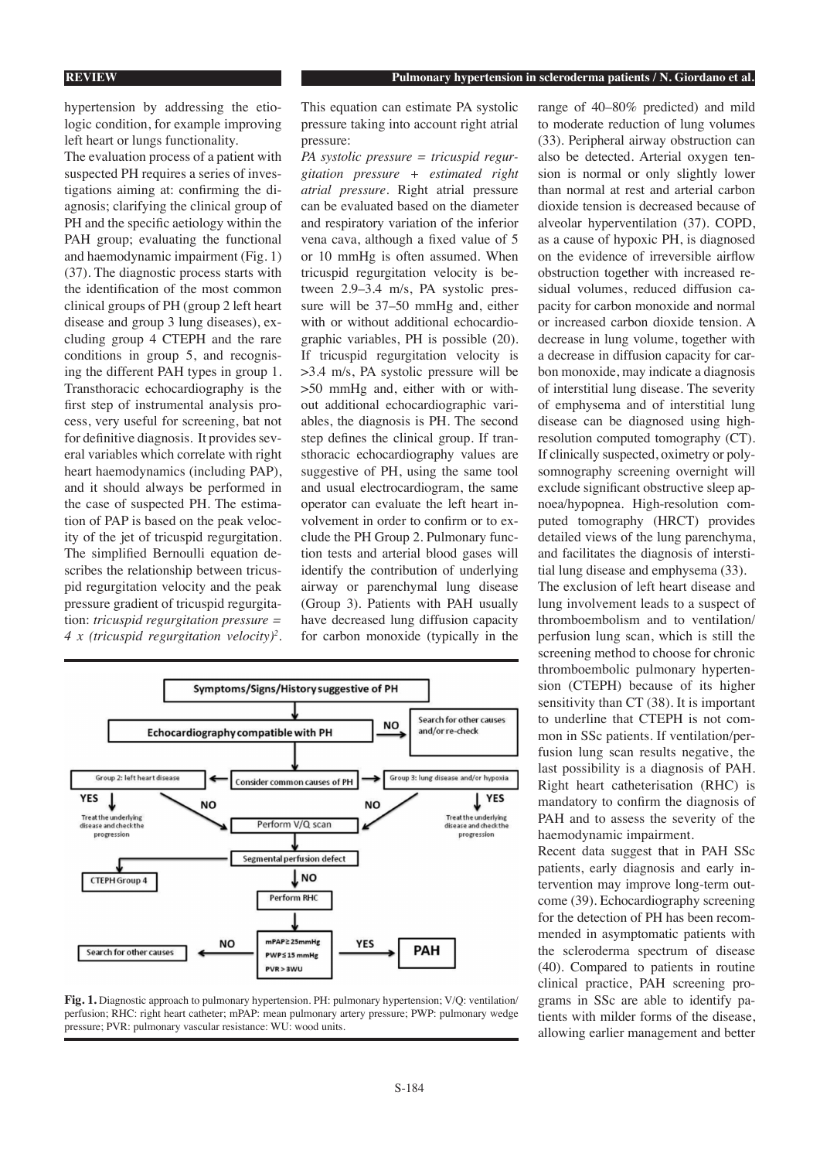hypertension by addressing the etiologic condition, for example improving left heart or lungs functionality.

The evaluation process of a patient with suspected PH requires a series of investigations aiming at: confirming the diagnosis; clarifying the clinical group of PH and the specific aetiology within the PAH group; evaluating the functional and haemodynamic impairment (Fig. 1) (37). The diagnostic process starts with the identification of the most common clinical groups of PH (group 2 left heart disease and group 3 lung diseases), excluding group 4 CTEPH and the rare conditions in group 5, and recognising the different PAH types in group 1. Transthoracic echocardiography is the first step of instrumental analysis process, very useful for screening, bat not for definitive diagnosis. It provides several variables which correlate with right heart haemodynamics (including PAP), and it should always be performed in the case of suspected PH. The estimation of PAP is based on the peak velocity of the jet of tricuspid regurgitation. The simplified Bernoulli equation describes the relationship between tricuspid regurgitation velocity and the peak pressure gradient of tricuspid regurgitation: *tricuspid regurgitation pressure = 4 x (tricuspid regurgitation velocity)2* . This equation can estimate PA systolic pressure taking into account right atrial pressure:

*PA systolic pressure = tricuspid regurgitation pressure + estimated right atrial pressure*. Right atrial pressure can be evaluated based on the diameter and respiratory variation of the inferior vena cava, although a fixed value of 5 or 10 mmHg is often assumed. When tricuspid regurgitation velocity is between 2.9–3.4 m/s, PA systolic pressure will be 37–50 mmHg and, either with or without additional echocardiographic variables, PH is possible (20). If tricuspid regurgitation velocity is >3.4 m/s, PA systolic pressure will be >50 mmHg and, either with or without additional echocardiographic variables, the diagnosis is PH. The second step defines the clinical group. If transthoracic echocardiography values are suggestive of PH, using the same tool and usual electrocardiogram, the same operator can evaluate the left heart involvement in order to confirm or to exclude the PH Group 2. Pulmonary function tests and arterial blood gases will identify the contribution of underlying airway or parenchymal lung disease (Group 3). Patients with PAH usually have decreased lung diffusion capacity for carbon monoxide (typically in the



**Fig. 1.** Diagnostic approach to pulmonary hypertension. PH: pulmonary hypertension; V/Q: ventilation/ perfusion; RHC: right heart catheter; mPAP: mean pulmonary artery pressure; PWP: pulmonary wedge pressure; PVR: pulmonary vascular resistance: WU: wood units.

range of 40–80% predicted) and mild to moderate reduction of lung volumes (33). Peripheral airway obstruction can also be detected. Arterial oxygen tension is normal or only slightly lower than normal at rest and arterial carbon dioxide tension is decreased because of alveolar hyperventilation (37). COPD, as a cause of hypoxic PH, is diagnosed on the evidence of irreversible airflow obstruction together with increased residual volumes, reduced diffusion capacity for carbon monoxide and normal or increased carbon dioxide tension. A decrease in lung volume, together with a decrease in diffusion capacity for carbon monoxide, may indicate a diagnosis of interstitial lung disease. The severity of emphysema and of interstitial lung disease can be diagnosed using highresolution computed tomography (CT). If clinically suspected, oximetry or polysomnography screening overnight will exclude significant obstructive sleep apnoea/hypopnea. High-resolution computed tomography (HRCT) provides detailed views of the lung parenchyma, and facilitates the diagnosis of interstitial lung disease and emphysema (33).

The exclusion of left heart disease and lung involvement leads to a suspect of thromboembolism and to ventilation/ perfusion lung scan, which is still the screening method to choose for chronic thromboembolic pulmonary hypertension (CTEPH) because of its higher sensitivity than CT (38). It is important to underline that CTEPH is not common in SSc patients. If ventilation/perfusion lung scan results negative, the last possibility is a diagnosis of PAH. Right heart catheterisation (RHC) is mandatory to confirm the diagnosis of PAH and to assess the severity of the haemodynamic impairment.

Recent data suggest that in PAH SSc patients, early diagnosis and early intervention may improve long-term outcome (39). Echocardiography screening for the detection of PH has been recommended in asymptomatic patients with the scleroderma spectrum of disease (40). Compared to patients in routine clinical practice, PAH screening programs in SSc are able to identify patients with milder forms of the disease, allowing earlier management and better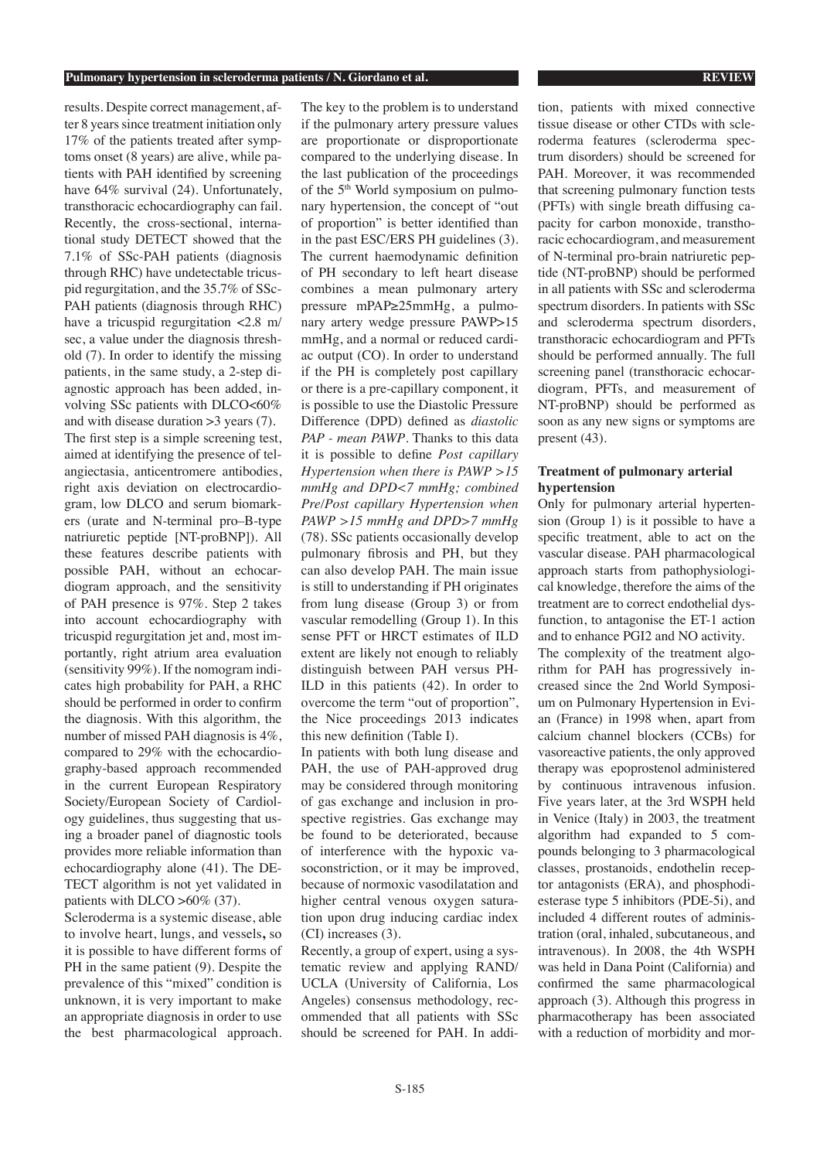#### **Pulmonary hypertension in scleroderma patients / N. Giordano et al. REVIEW**

results. Despite correct management, after 8 years since treatment initiation only 17% of the patients treated after symptoms onset (8 years) are alive, while patients with PAH identified by screening have  $64\%$  survival (24). Unfortunately, transthoracic echocardiography can fail. Recently, the cross-sectional, international study DETECT showed that the 7.1% of SSc-PAH patients (diagnosis through RHC) have undetectable tricuspid regurgitation, and the 35.7% of SSc-PAH patients (diagnosis through RHC) have a tricuspid regurgitation <2.8 m/ sec, a value under the diagnosis threshold (7). In order to identify the missing patients, in the same study, a 2-step diagnostic approach has been added, involving SSc patients with DLCO<60% and with disease duration >3 years (7). The first step is a simple screening test, aimed at identifying the presence of telangiectasia, anticentromere antibodies, right axis deviation on electrocardiogram, low DLCO and serum biomarkers (urate and N-terminal pro–B-type natriuretic peptide [NT-proBNP]). All these features describe patients with possible PAH, without an echocardiogram approach, and the sensitivity of PAH presence is 97%. Step 2 takes into account echocardiography with tricuspid regurgitation jet and, most importantly, right atrium area evaluation (sensitivity 99%). If the nomogram indicates high probability for PAH, a RHC should be performed in order to confirm the diagnosis. With this algorithm, the number of missed PAH diagnosis is 4%, compared to 29% with the echocardiography-based approach recommended in the current European Respiratory Society/European Society of Cardiology guidelines, thus suggesting that using a broader panel of diagnostic tools provides more reliable information than echocardiography alone (41). The DE-TECT algorithm is not yet validated in patients with DLCO >60% (37).

Scleroderma is a systemic disease, able to involve heart, lungs, and vessels**,** so it is possible to have different forms of PH in the same patient (9). Despite the prevalence of this "mixed" condition is unknown, it is very important to make an appropriate diagnosis in order to use the best pharmacological approach.

The key to the problem is to understand if the pulmonary artery pressure values are proportionate or disproportionate compared to the underlying disease. In the last publication of the proceedings of the 5th World symposium on pulmonary hypertension, the concept of "out of proportion" is better identified than in the past ESC/ERS PH guidelines (3). The current haemodynamic definition of PH secondary to left heart disease combines a mean pulmonary artery pressure mPAP≥25mmHg, a pulmonary artery wedge pressure PAWP>15 mmHg, and a normal or reduced cardiac output (CO). In order to understand if the PH is completely post capillary or there is a pre-capillary component, it is possible to use the Diastolic Pressure Difference (DPD) defined as *diastolic PAP - mean PAWP*. Thanks to this data it is possible to define *Post capillary Hypertension when there is PAWP >15 mmHg and DPD<7 mmHg; combined Pre/Post capillary Hypertension when PAWP >15 mmHg and DPD>7 mmHg*  (78). SSc patients occasionally develop pulmonary fibrosis and PH, but they can also develop PAH. The main issue is still to understanding if PH originates from lung disease (Group 3) or from vascular remodelling (Group 1). In this sense PFT or HRCT estimates of ILD extent are likely not enough to reliably distinguish between PAH versus PH-ILD in this patients (42). In order to overcome the term "out of proportion", the Nice proceedings 2013 indicates this new definition (Table I).

In patients with both lung disease and PAH, the use of PAH-approved drug may be considered through monitoring of gas exchange and inclusion in prospective registries. Gas exchange may be found to be deteriorated, because of interference with the hypoxic vasoconstriction, or it may be improved, because of normoxic vasodilatation and higher central venous oxygen saturation upon drug inducing cardiac index (CI) increases (3).

Recently, a group of expert, using a systematic review and applying RAND/ UCLA (University of California, Los Angeles) consensus methodology, recommended that all patients with SSc should be screened for PAH. In addi-

tion, patients with mixed connective tissue disease or other CTDs with scleroderma features (scleroderma spectrum disorders) should be screened for PAH. Moreover, it was recommended that screening pulmonary function tests (PFTs) with single breath diffusing capacity for carbon monoxide, transthoracic echocardiogram, and measurement of N-terminal pro-brain natriuretic peptide (NT-proBNP) should be performed in all patients with SSc and scleroderma spectrum disorders. In patients with SSc and scleroderma spectrum disorders, transthoracic echocardiogram and PFTs should be performed annually. The full screening panel (transthoracic echocardiogram, PFTs, and measurement of NT-proBNP) should be performed as soon as any new signs or symptoms are present (43).

### **Treatment of pulmonary arterial hypertension**

Only for pulmonary arterial hypertension (Group 1) is it possible to have a specific treatment, able to act on the vascular disease. PAH pharmacological approach starts from pathophysiological knowledge, therefore the aims of the treatment are to correct endothelial dysfunction, to antagonise the ET-1 action and to enhance PGI2 and NO activity. The complexity of the treatment algorithm for PAH has progressively increased since the 2nd World Symposium on Pulmonary Hypertension in Evian (France) in 1998 when, apart from calcium channel blockers (CCBs) for vasoreactive patients, the only approved therapy was epoprostenol administered by continuous intravenous infusion. Five years later, at the 3rd WSPH held in Venice (Italy) in 2003, the treatment algorithm had expanded to 5 compounds belonging to 3 pharmacological classes, prostanoids, endothelin receptor antagonists (ERA), and phosphodiesterase type 5 inhibitors (PDE-5i), and included 4 different routes of administration (oral, inhaled, subcutaneous, and intravenous). In 2008, the 4th WSPH was held in Dana Point (California) and confirmed the same pharmacological approach (3). Although this progress in pharmacotherapy has been associated with a reduction of morbidity and mor-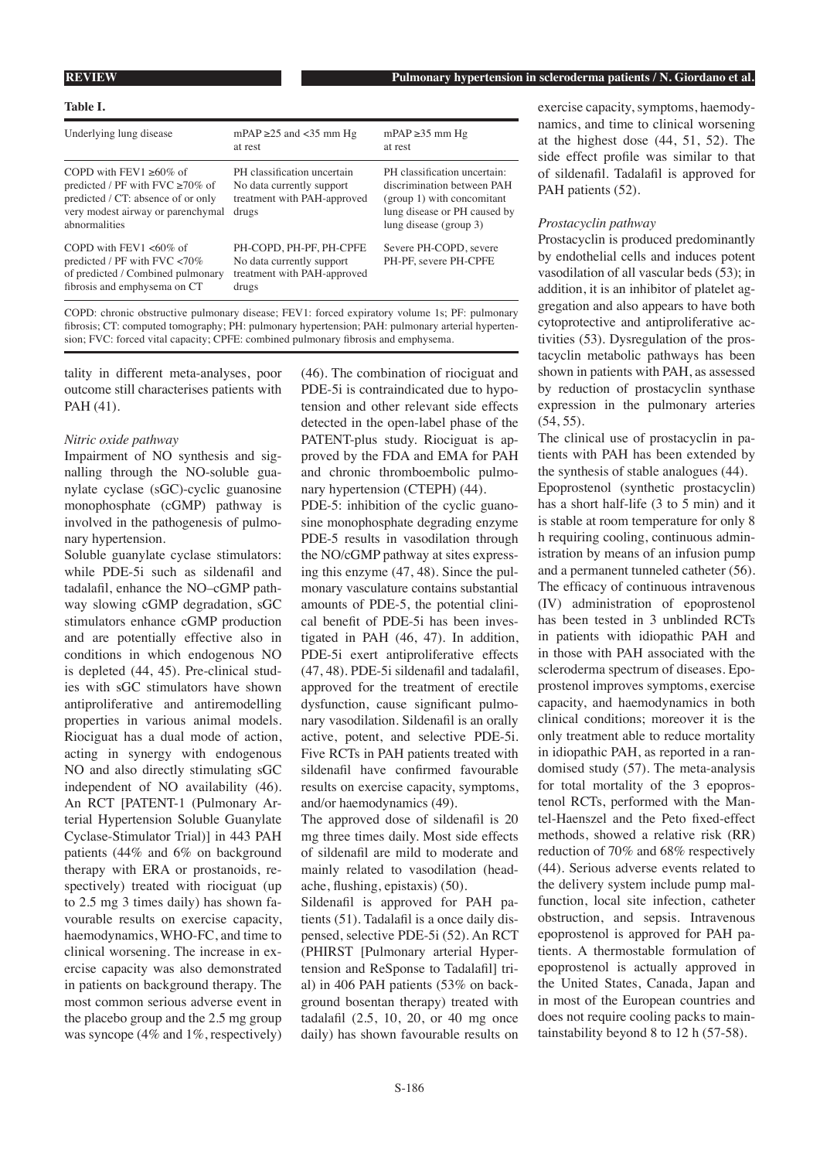#### **Table I.**

| Underlying lung disease                                                                                                                                          | mPAP $\geq$ 25 and <35 mm Hg<br>at rest                                                          | $mPAP \geq 35$ mm Hg<br>at rest                                                                                                                       |
|------------------------------------------------------------------------------------------------------------------------------------------------------------------|--------------------------------------------------------------------------------------------------|-------------------------------------------------------------------------------------------------------------------------------------------------------|
| COPD with $FFV1 > 60\%$ of<br>predicted / PF with FVC $\geq 70\%$ of<br>predicted / CT: absence of or only<br>very modest airway or parenchymal<br>abnormalities | PH classification uncertain<br>No data currently support<br>treatment with PAH-approved<br>drugs | PH classification uncertain:<br>discrimination between PAH<br>(group 1) with concomitant<br>lung disease or PH caused by<br>lung disease ( $\gamma$ ) |
| COPD with FEV1 $<60\%$ of<br>predicted / PF with $FVC < 70\%$<br>of predicted / Combined pulmonary<br>fibrosis and emphysema on CT                               | PH-COPD. PH-PF. PH-CPFE<br>No data currently support<br>treatment with PAH-approved<br>drugs     | Severe PH-COPD, severe<br>PH-PF, severe PH-CPFE                                                                                                       |

COPD: chronic obstructive pulmonary disease; FEV1: forced expiratory volume 1s; PF: pulmonary fibrosis; CT: computed tomography; PH: pulmonary hypertension; PAH: pulmonary arterial hypertension; FVC: forced vital capacity; CPFE: combined pulmonary fibrosis and emphysema.

tality in different meta-analyses, poor outcome still characterises patients with PAH (41).

#### *Nitric oxide pathway*

Impairment of NO synthesis and signalling through the NO-soluble guanylate cyclase (sGC)-cyclic guanosine monophosphate (cGMP) pathway is involved in the pathogenesis of pulmonary hypertension.

Soluble guanylate cyclase stimulators: while PDE-5i such as sildenafil and tadalafil, enhance the NO–cGMP pathway slowing cGMP degradation, sGC stimulators enhance cGMP production and are potentially effective also in conditions in which endogenous NO is depleted (44, 45). Pre-clinical studies with sGC stimulators have shown antiproliferative and antiremodelling properties in various animal models. Riociguat has a dual mode of action, acting in synergy with endogenous NO and also directly stimulating sGC independent of NO availability (46). An RCT [PATENT-1 (Pulmonary Arterial Hypertension Soluble Guanylate Cyclase-Stimulator Trial)] in 443 PAH patients (44% and 6% on background therapy with ERA or prostanoids, respectively) treated with riociguat (up to 2.5 mg 3 times daily) has shown favourable results on exercise capacity, haemodynamics, WHO-FC, and time to clinical worsening. The increase in exercise capacity was also demonstrated in patients on background therapy. The most common serious adverse event in the placebo group and the 2.5 mg group was syncope (4% and 1%, respectively)

(46). The combination of riociguat and PDE-5i is contraindicated due to hypotension and other relevant side effects detected in the open-label phase of the PATENT-plus study. Riociguat is approved by the FDA and EMA for PAH and chronic thromboembolic pulmonary hypertension (CTEPH) (44). PDE-5: inhibition of the cyclic guanosine monophosphate degrading enzyme PDE-5 results in vasodilation through the NO/cGMP pathway at sites expressing this enzyme (47, 48). Since the pulmonary vasculature contains substantial amounts of PDE-5, the potential clini-

cal benefit of PDE-5i has been investigated in PAH (46, 47). In addition, PDE-5i exert antiproliferative effects (47, 48). PDE-5i sildenafil and tadalafil, approved for the treatment of erectile dysfunction, cause significant pulmonary vasodilation. Sildenafil is an orally active, potent, and selective PDE-5i. Five RCTs in PAH patients treated with sildenafil have confirmed favourable results on exercise capacity, symptoms, and/or haemodynamics (49).

The approved dose of sildenafil is 20 mg three times daily. Most side effects of sildenafil are mild to moderate and mainly related to vasodilation (headache, flushing, epistaxis) (50).

Sildenafil is approved for PAH patients (51). Tadalafil is a once daily dispensed, selective PDE-5i (52). An RCT (PHIRST [Pulmonary arterial Hypertension and ReSponse to Tadalafil] trial) in 406 PAH patients (53% on background bosentan therapy) treated with tadalafil (2.5, 10, 20, or 40 mg once daily) has shown favourable results on exercise capacity, symptoms, haemodynamics, and time to clinical worsening at the highest dose (44, 51, 52). The side effect profile was similar to that of sildenafil. Tadalafil is approved for PAH patients (52).

#### *Prostacyclin pathway*

Prostacyclin is produced predominantly by endothelial cells and induces potent vasodilation of all vascular beds (53); in addition, it is an inhibitor of platelet aggregation and also appears to have both cytoprotective and antiproliferative activities (53). Dysregulation of the prostacyclin metabolic pathways has been shown in patients with PAH, as assessed by reduction of prostacyclin synthase expression in the pulmonary arteries  $(54, 55)$ .

The clinical use of prostacyclin in patients with PAH has been extended by the synthesis of stable analogues (44). Epoprostenol (synthetic prostacyclin) has a short half-life (3 to 5 min) and it is stable at room temperature for only 8 h requiring cooling, continuous administration by means of an infusion pump and a permanent tunneled catheter (56). The efficacy of continuous intravenous (IV) administration of epoprostenol has been tested in 3 unblinded RCTs in patients with idiopathic PAH and in those with PAH associated with the scleroderma spectrum of diseases. Epoprostenol improves symptoms, exercise capacity, and haemodynamics in both clinical conditions; moreover it is the only treatment able to reduce mortality in idiopathic PAH, as reported in a randomised study (57). The meta-analysis for total mortality of the 3 epoprostenol RCTs, performed with the Mantel-Haenszel and the Peto fixed-effect methods, showed a relative risk (RR) reduction of 70% and 68% respectively (44). Serious adverse events related to the delivery system include pump malfunction, local site infection, catheter obstruction, and sepsis. Intravenous epoprostenol is approved for PAH patients. A thermostable formulation of epoprostenol is actually approved in the United States, Canada, Japan and in most of the European countries and does not require cooling packs to maintainstability beyond 8 to 12 h (57-58).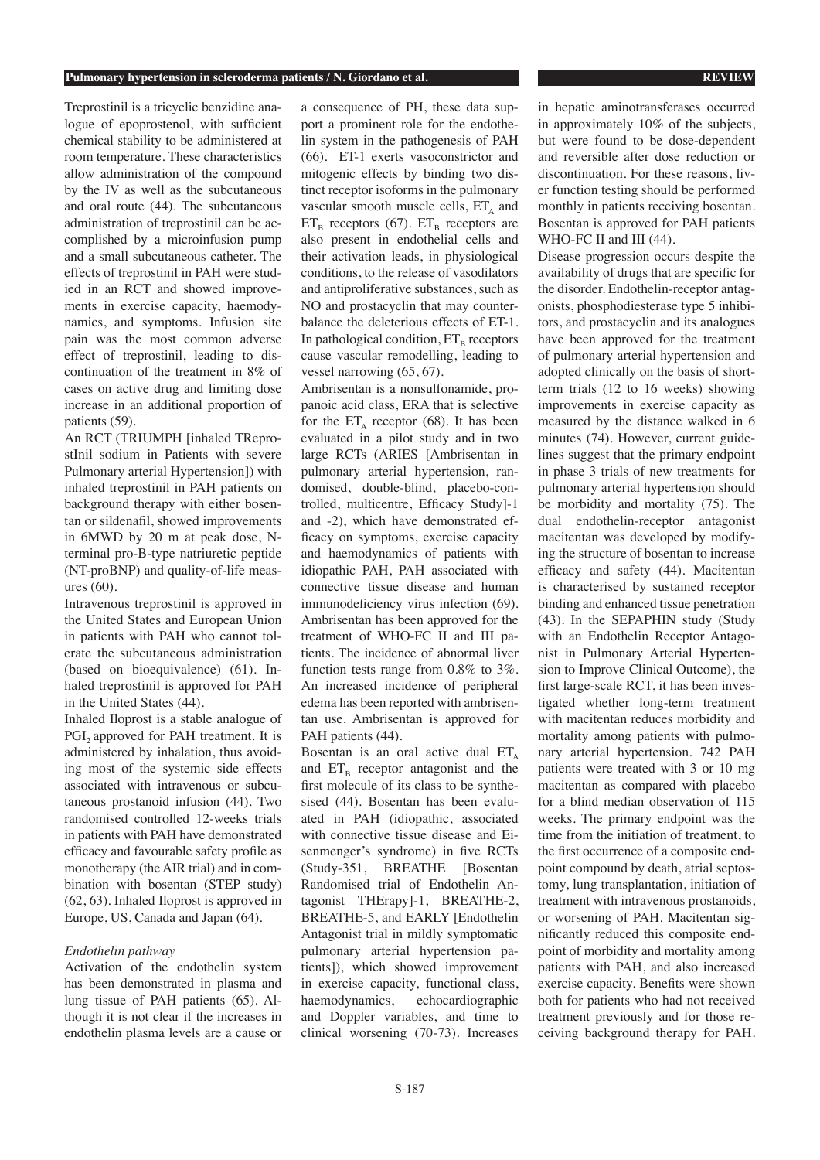#### **Pulmonary hypertension in scleroderma patients / N. Giordano et al. REVIEW**

Treprostinil is a tricyclic benzidine analogue of epoprostenol, with sufficient chemical stability to be administered at room temperature. These characteristics allow administration of the compound by the IV as well as the subcutaneous and oral route (44). The subcutaneous administration of treprostinil can be accomplished by a microinfusion pump and a small subcutaneous catheter. The effects of treprostinil in PAH were studied in an RCT and showed improvements in exercise capacity, haemodynamics, and symptoms. Infusion site pain was the most common adverse effect of treprostinil, leading to discontinuation of the treatment in 8% of cases on active drug and limiting dose increase in an additional proportion of patients (59).

An RCT (TRIUMPH [inhaled TReprostInil sodium in Patients with severe Pulmonary arterial Hypertension]) with inhaled treprostinil in PAH patients on background therapy with either bosentan or sildenafil, showed improvements in 6MWD by 20 m at peak dose, Nterminal pro-B-type natriuretic peptide (NT-proBNP) and quality-of-life measures (60).

Intravenous treprostinil is approved in the United States and European Union in patients with PAH who cannot tolerate the subcutaneous administration (based on bioequivalence) (61). Inhaled treprostinil is approved for PAH in the United States (44).

Inhaled Iloprost is a stable analogue of PGI, approved for PAH treatment. It is administered by inhalation, thus avoiding most of the systemic side effects associated with intravenous or subcutaneous prostanoid infusion (44). Two randomised controlled 12-weeks trials in patients with PAH have demonstrated efficacy and favourable safety profile as monotherapy (the AIR trial) and in combination with bosentan (STEP study) (62, 63). Inhaled Iloprost is approved in Europe, US, Canada and Japan (64).

#### *Endothelin pathway*

Activation of the endothelin system has been demonstrated in plasma and lung tissue of PAH patients (65). Although it is not clear if the increases in endothelin plasma levels are a cause or a consequence of PH, these data support a prominent role for the endothelin system in the pathogenesis of PAH (66). ET-1 exerts vasoconstrictor and mitogenic effects by binding two distinct receptor isoforms in the pulmonary vascular smooth muscle cells,  $ET<sub>A</sub>$  and  $ET_B$  receptors (67).  $ET_B$  receptors are also present in endothelial cells and their activation leads, in physiological conditions, to the release of vasodilators and antiproliferative substances, such as NO and prostacyclin that may counterbalance the deleterious effects of ET-1. In pathological condition,  $ET_B$  receptors cause vascular remodelling, leading to vessel narrowing (65, 67).

Ambrisentan is a nonsulfonamide, propanoic acid class, ERA that is selective for the  $ET_A$  receptor (68). It has been evaluated in a pilot study and in two large RCTs (ARIES [Ambrisentan in pulmonary arterial hypertension, randomised, double-blind, placebo-controlled, multicentre, Efficacy Study]-1 and -2), which have demonstrated efficacy on symptoms, exercise capacity and haemodynamics of patients with idiopathic PAH, PAH associated with connective tissue disease and human immunodeficiency virus infection (69). Ambrisentan has been approved for the treatment of WHO-FC II and III patients. The incidence of abnormal liver function tests range from 0.8% to 3%. An increased incidence of peripheral edema has been reported with ambrisentan use. Ambrisentan is approved for PAH patients (44).

Bosentan is an oral active dual  $ET_A$ and  $ET_B$  receptor antagonist and the first molecule of its class to be synthesised (44). Bosentan has been evaluated in PAH (idiopathic, associated with connective tissue disease and Eisenmenger's syndrome) in five RCTs (Study-351, BREATHE [Bosentan Randomised trial of Endothelin Antagonist THErapy]-1, BREATHE-2, BREATHE-5, and EARLY [Endothelin Antagonist trial in mildly symptomatic pulmonary arterial hypertension patients]), which showed improvement in exercise capacity, functional class, haemodynamics, echocardiographic and Doppler variables, and time to clinical worsening (70-73). Increases in hepatic aminotransferases occurred in approximately 10% of the subjects, but were found to be dose-dependent and reversible after dose reduction or discontinuation. For these reasons, liver function testing should be performed monthly in patients receiving bosentan. Bosentan is approved for PAH patients WHO-FC II and III (44).

Disease progression occurs despite the availability of drugs that are specific for the disorder. Endothelin-receptor antagonists, phosphodiesterase type 5 inhibitors, and prostacyclin and its analogues have been approved for the treatment of pulmonary arterial hypertension and adopted clinically on the basis of shortterm trials (12 to 16 weeks) showing improvements in exercise capacity as measured by the distance walked in 6 minutes (74). However, current guidelines suggest that the primary endpoint in phase 3 trials of new treatments for pulmonary arterial hypertension should be morbidity and mortality (75). The dual endothelin-receptor antagonist macitentan was developed by modifying the structure of bosentan to increase efficacy and safety (44). Macitentan is characterised by sustained receptor binding and enhanced tissue penetration (43). In the SEPAPHIN study (Study with an Endothelin Receptor Antagonist in Pulmonary Arterial Hypertension to Improve Clinical Outcome), the first large-scale RCT, it has been investigated whether long-term treatment with macitentan reduces morbidity and mortality among patients with pulmonary arterial hypertension. 742 PAH patients were treated with 3 or 10 mg macitentan as compared with placebo for a blind median observation of 115 weeks. The primary endpoint was the time from the initiation of treatment, to the first occurrence of a composite endpoint compound by death, atrial septostomy, lung transplantation, initiation of treatment with intravenous prostanoids, or worsening of PAH. Macitentan significantly reduced this composite endpoint of morbidity and mortality among patients with PAH, and also increased exercise capacity. Benefits were shown both for patients who had not received treatment previously and for those receiving background therapy for PAH.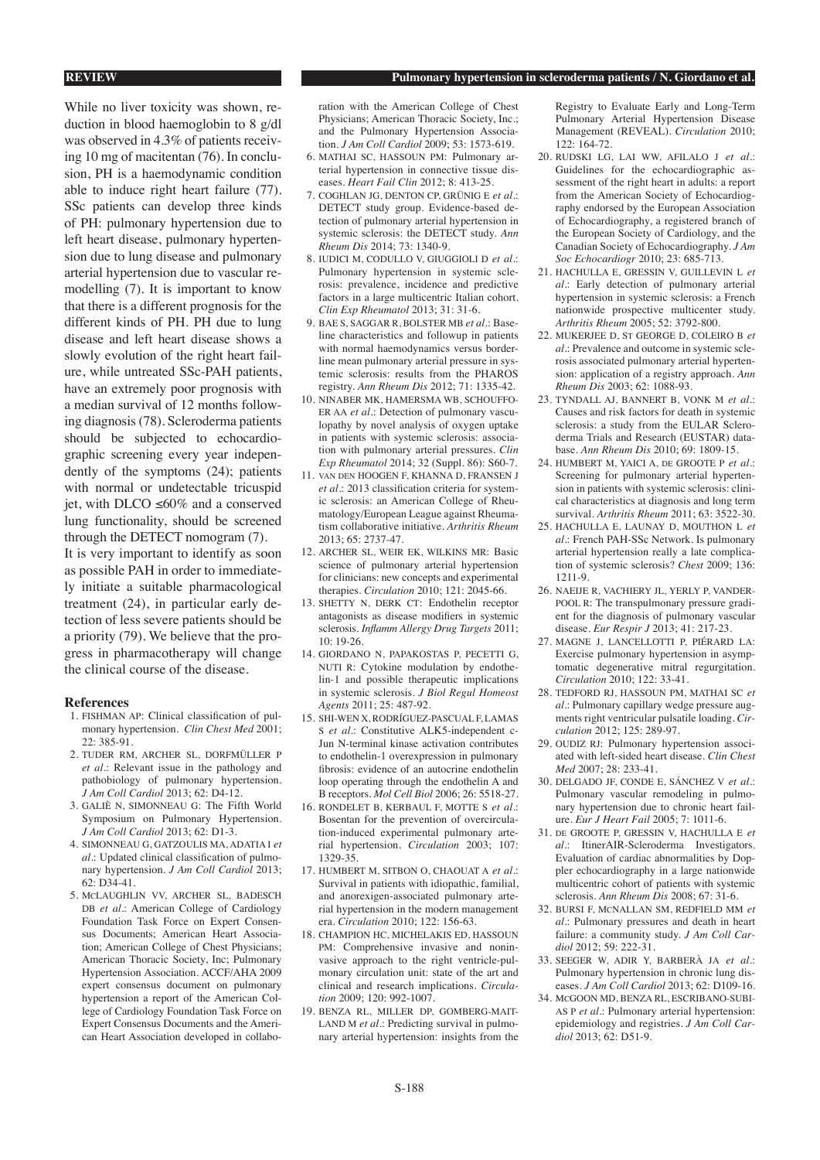### **REVIEW Pulmonary hypertension in scleroderma patients / N. Giordano et al.**

While no liver toxicity was shown, reduction in blood haemoglobin to 8 g/dl was observed in 4.3% of patients receiving 10 mg of macitentan (76). In conclusion, PH is a haemodynamic condition able to induce right heart failure (77). SSc patients can develop three kinds of PH: pulmonary hypertension due to left heart disease, pulmonary hypertension due to lung disease and pulmonary arterial hypertension due to vascular remodelling (7). It is important to know that there is a different prognosis for the different kinds of PH. PH due to lung disease and left heart disease shows a slowly evolution of the right heart failure, while untreated SSc-PAH patients, have an extremely poor prognosis with a median survival of 12 months following diagnosis (78). Scleroderma patients should be subjected to echocardiographic screening every year independently of the symptoms (24); patients with normal or undetectable tricuspid jet, with DLCO ≤60% and a conserved lung functionality, should be screened through the DETECT nomogram (7).

It is very important to identify as soon as possible PAH in order to immediately initiate a suitable pharmacological treatment (24), in particular early detection of less severe patients should be a priority (79). We believe that the progress in pharmacotherapy will change the clinical course of the disease.

#### **References**

- 1. FISHMAN AP: Clinical classification of pulmonary hypertension. *Clin Chest Med* 2001; 22: 385-91.
- 2. TUDER RM, ARCHER SL, DORFMÜLLER P *et al*.: Relevant issue in the pathology and pathobiology of pulmonary hypertension. *J Am Coll Cardiol* 2013; 62: D4-12.
- 3. GALIÈ N, SIMONNEAU G: The Fifth World Symposium on Pulmonary Hypertension. *J Am Coll Cardiol* 2013; 62: D1-3.
- 4. SIMONNEAU G, GATZOULIS MA, ADATIA I *et al*.: Updated clinical classification of pulmonary hypertension. *J Am Coll Cardiol* 2013; 62: D34-41.
- 5. McLAUGHLIN VV, ARCHER SL, BADESCH DB *et al*.: American College of Cardiology Foundation Task Force on Expert Consensus Documents; American Heart Association; American College of Chest Physicians; American Thoracic Society, Inc; Pulmonary Hypertension Association. ACCF/AHA 2009 expert consensus document on pulmonary hypertension a report of the American College of Cardiology Foundation Task Force on Expert Consensus Documents and the American Heart Association developed in collabo-

ration with the American College of Chest Physicians; American Thoracic Society, Inc.; and the Pulmonary Hypertension Association. *J Am Coll Cardiol* 2009; 53: 1573-619.

- 6. MATHAI SC, HASSOUN PM: Pulmonary arterial hypertension in connective tissue diseases. *Heart Fail Clin* 2012; 8: 413-25.
- 7. COGHLAN JG, DENTON CP, GRÜNIG E *et al*.: DETECT study group. Evidence-based detection of pulmonary arterial hypertension in systemic sclerosis: the DETECT study. *Ann Rheum Dis* 2014; 73: 1340-9.
- 8. IUDICI M, CODULLO V, GIUGGIOLI D *et al*.: Pulmonary hypertension in systemic sclerosis: prevalence, incidence and predictive factors in a large multicentric Italian cohort. *Clin Exp Rheumatol* 2013; 31: 31-6.
- 9. BAE S, SAGGAR R, BOLSTER MB *et al*.: Baseline characteristics and followup in patients with normal haemodynamics versus borderline mean pulmonary arterial pressure in systemic sclerosis: results from the PHAROS registry. *Ann Rheum Dis* 2012; 71: 1335-42.
- 10. NINABER MK, HAMERSMA WB, SCHOUFFO-ER AA *et al*.: Detection of pulmonary vasculopathy by novel analysis of oxygen uptake in patients with systemic sclerosis: association with pulmonary arterial pressures. *Clin Exp Rheumatol* 2014; 32 (Suppl. 86): S60-7.
- 11. van den HOOGEN F, KHANNA D, FRANSEN J *et al*.: 2013 classification criteria for systemic sclerosis: an American College of Rheumatology/European League against Rheumatism collaborative initiative. *Arthritis Rheum*  2013; 65: 2737-47.
- 12. ARCHER SL, WEIR EK, WILKINS MR: Basic science of pulmonary arterial hypertension for clinicians: new concepts and experimental therapies. *Circulation* 2010; 121: 2045-66.
- 13. SHETTY N, DERK CT: Endothelin receptor antagonists as disease modifiers in systemic sclerosis. *Inflamm Allergy Drug Targets* 2011; 10: 19-26.
- 14. GIORDANO N, PAPAKOSTAS P, PECETTI G, NUTI R: Cytokine modulation by endothelin-1 and possible therapeutic implications in systemic sclerosis. *J Biol Regul Homeost Agents* 2011; 25: 487-92.
- 15. SHI-WEN X, RODRÍGUEZ-PASCUAL F, LAMAS S *et al*.: Constitutive ALK5-independent c-Jun N-terminal kinase activation contributes to endothelin-1 overexpression in pulmonary fibrosis: evidence of an autocrine endothelin loop operating through the endothelin A and B receptors. *Mol Cell Biol* 2006; 26: 5518-27.
- 16. RONDELET B, KERBAUL F, MOTTE S *et al*.: Bosentan for the prevention of overcirculation-induced experimental pulmonary arterial hypertension. *Circulation* 2003; 107: 1329-35.
- 17. HUMBERT M, SITBON O, CHAOUAT A *et al*.: Survival in patients with idiopathic, familial, and anorexigen-associated pulmonary arterial hypertension in the modern management era. *Circulation* 2010; 122: 156-63.
- 18. CHAMPION HC, MICHELAKIS ED, HASSOUN PM: Comprehensive invasive and noninvasive approach to the right ventricle-pulmonary circulation unit: state of the art and clinical and research implications. *Circulation* 2009; 120: 992-1007.
- 19. BENZA RL, MILLER DP, GOMBERG-MAIT-LAND M *et al*.: Predicting survival in pulmonary arterial hypertension: insights from the

Registry to Evaluate Early and Long-Term Pulmonary Arterial Hypertension Disease Management (REVEAL). *Circulation* 2010; 122: 164-72.

- 20. RUDSKI LG, LAI WW, AFILALO J *et al*.: Guidelines for the echocardiographic assessment of the right heart in adults: a report from the American Society of Echocardiography endorsed by the European Association of Echocardiography, a registered branch of the European Society of Cardiology, and the Canadian Society of Echocardiography. *J Am Soc Echocardiogr* 2010; 23: 685-713.
- 21. HACHULLA E, GRESSIN V, GUILLEVIN L *et al*.: Early detection of pulmonary arterial hypertension in systemic sclerosis: a French nationwide prospective multicenter study. *Arthritis Rheum* 2005; 52: 3792-800.
- 22. MUKERJEE D, St GEORGE D, COLEIRO B *et al*.: Prevalence and outcome in systemic sclerosis associated pulmonary arterial hypertension: application of a registry approach. *Ann Rheum Dis* 2003; 62: 1088-93.
- 23. TYNDALL AJ, BANNERT B, VONK M *et al*.: Causes and risk factors for death in systemic sclerosis: a study from the EULAR Scleroderma Trials and Research (EUSTAR) database. *Ann Rheum Dis* 2010; 69: 1809-15.
- 24. HUMBERT M, YAICI A, de GROOTE P *et al*.: Screening for pulmonary arterial hypertension in patients with systemic sclerosis: clinical characteristics at diagnosis and long term survival. *Arthritis Rheum* 2011; 63: 3522-30.
- 25. HACHULLA E, LAUNAY D, MOUTHON L *et al*.: French PAH-SSc Network. Is pulmonary arterial hypertension really a late complication of systemic sclerosis? *Chest* 2009; 136: 1211-9.
- 26. NAEIJE R, VACHIERY JL, YERLY P, VANDER-POOL R: The transpulmonary pressure gradient for the diagnosis of pulmonary vascular disease. *Eur Respir J* 2013; 41: 217-23.
- 27. MAGNE J, LANCELLOTTI P, PIÉRARD LA: Exercise pulmonary hypertension in asymptomatic degenerative mitral regurgitation. *Circulation* 2010; 122: 33-41.
- 28. TEDFORD RJ, HASSOUN PM, MATHAI SC *et al*.: Pulmonary capillary wedge pressure augments right ventricular pulsatile loading. *Circulation* 2012; 125: 289-97.
- 29. OUDIZ RJ: Pulmonary hypertension associated with left-sided heart disease. *Clin Chest Med* 2007; 28: 233-41.
- 30. DELGADO JF, CONDE E, SÁNCHEZ V *et al*.: Pulmonary vascular remodeling in pulmonary hypertension due to chronic heart failure. *Eur J Heart Fail* 2005; 7: 1011-6.
- 31. de GROOTE P, GRESSIN V, HACHULLA E *et al*.: ItinerAIR-Scleroderma Investigators. Evaluation of cardiac abnormalities by Doppler echocardiography in a large nationwide multicentric cohort of patients with systemic sclerosis. *Ann Rheum Dis* 2008; 67: 31-6.
- 32. BURSI F, McNALLAN SM, REDFIELD MM *et al*.: Pulmonary pressures and death in heart failure: a community study. *J Am Coll Cardiol* 2012; 59: 222-31.
- 33. SEEGER W, ADIR Y, BARBERÀ JA *et al*.: Pulmonary hypertension in chronic lung diseases. *J Am Coll Cardiol* 2013; 62: D109-16.
- 34. McGOON MD, BENZA RL, ESCRIBANO-SUBI-AS P *et al*.: Pulmonary arterial hypertension: epidemiology and registries. *J Am Coll Cardiol* 2013; 62: D51-9.